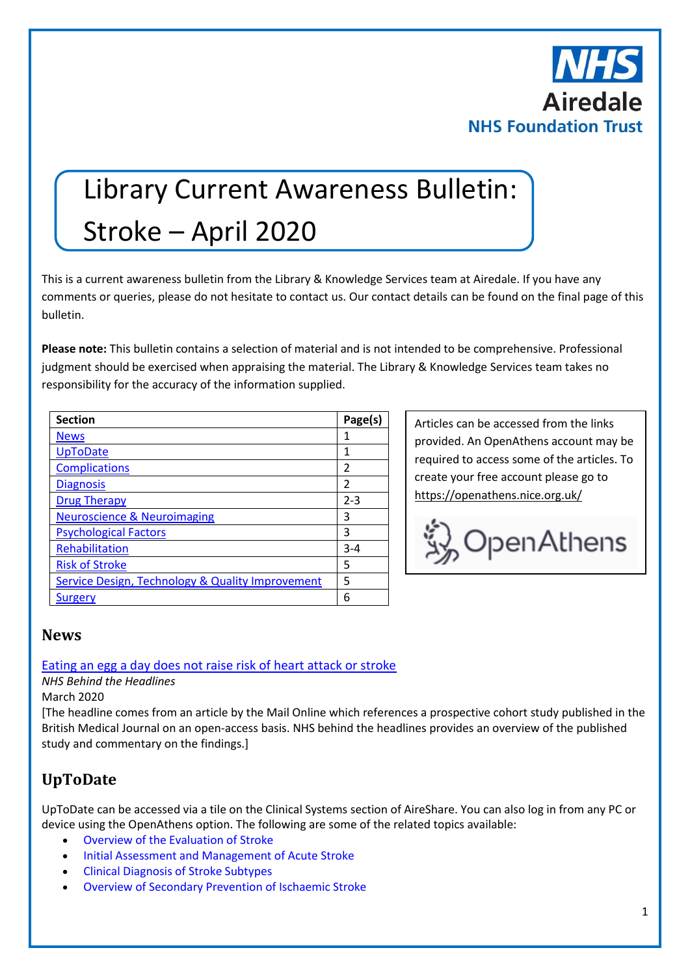

# Library Current Awareness Bulletin: Stroke – April 2020

This is a current awareness bulletin from the Library & Knowledge Services team at Airedale. If you have any comments or queries, please do not hesitate to contact us. Our contact details can be found on the final page of this bulletin.

**Please note:** This bulletin contains a selection of material and is not intended to be comprehensive. Professional judgment should be exercised when appraising the material. The Library & Knowledge Services team takes no responsibility for the accuracy of the information supplied.

| <b>Section</b>                                   | Page(s) |
|--------------------------------------------------|---------|
| <b>News</b>                                      | 1       |
| <b>UpToDate</b>                                  | 1       |
| <b>Complications</b>                             | 2       |
| <b>Diagnosis</b>                                 | 2       |
| <b>Drug Therapy</b>                              | $2 - 3$ |
| <b>Neuroscience &amp; Neuroimaging</b>           | 3       |
| <b>Psychological Factors</b>                     | 3       |
| Rehabilitation                                   | $3 - 4$ |
| <b>Risk of Stroke</b>                            | 5       |
| Service Design, Technology & Quality Improvement | 5       |
| Surgery                                          | 6       |

Articles can be accessed from the links provided. An OpenAthens account may be required to access some of the articles. To create your free account please go to <https://openathens.nice.org.uk/>



## <span id="page-0-0"></span>**News**

#### [Eating an egg a day does not raise risk of heart attack or stroke](https://www.nhs.uk/news/food-and-diet/eating-egg-day-does-not-raise-risk-heart-attack-or-stroke/)

#### *NHS Behind the Headlines*

#### March 2020

[The headline comes from an article by the Mail Online which references a prospective cohort study published in the British Medical Journal on an open-access basis. NHS behind the headlines provides an overview of the published study and commentary on the findings.]

## <span id="page-0-1"></span>**UpToDate**

UpToDate can be accessed via a tile on the Clinical Systems section of AireShare. You can also log in from any PC or device using the OpenAthens option. The following are some of the related topics available:

- [Overview of the Evaluation of Stroke](https://www.uptodate.com/contents/overview-of-the-evaluation-of-stroke?search=stroke&source=search_result&selectedTitle=2~150&usage_type=default&display_rank=2)
- [Initial Assessment and Management of Acute Stroke](https://www.uptodate.com/contents/initial-assessment-and-management-of-acute-stroke?search=stroke&source=search_result&selectedTitle=1~150&usage_type=default&display_rank=1)
- [Clinical Diagnosis of Stroke Subtypes](https://www.uptodate.com/contents/clinical-diagnosis-of-stroke-subtypes?search=stroke&source=search_result&selectedTitle=4~150&usage_type=default&display_rank=4)
- [Overview of Secondary Prevention of Ischaemic Stroke](https://www.uptodate.com/contents/overview-of-secondary-prevention-of-ischemic-stroke?search=stroke&source=search_result&selectedTitle=6~150&usage_type=default&display_rank=6)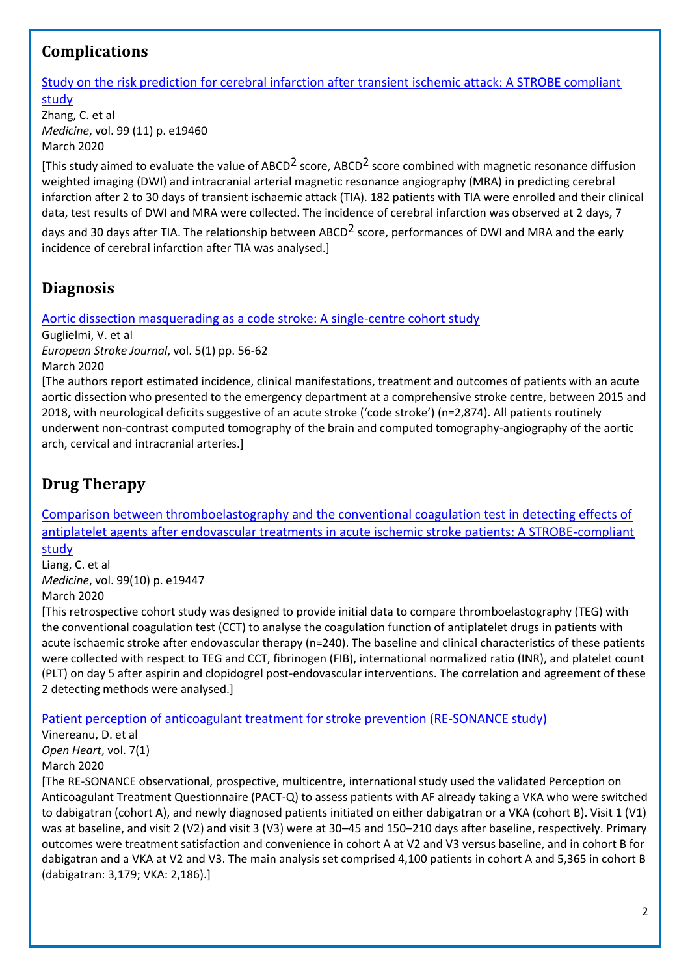# <span id="page-1-0"></span>**Complications**

[Study on the risk prediction for cerebral infarction after transient ischemic attack: A STROBE compliant](https://journals.lww.com/md-journal/FullText/2020/03130/Study_on_the_risk_prediction_for_cerebral.55.aspx)  [study](https://journals.lww.com/md-journal/FullText/2020/03130/Study_on_the_risk_prediction_for_cerebral.55.aspx)

Zhang, C. et al *Medicine*, vol. 99 (11) p. e19460 March 2020

[This study aimed to evaluate the value of ABCD<sup>2</sup> score, ABCD<sup>2</sup> score combined with magnetic resonance diffusion weighted imaging (DWI) and intracranial arterial magnetic resonance angiography (MRA) in predicting cerebral infarction after 2 to 30 days of transient ischaemic attack (TIA). 182 patients with TIA were enrolled and their clinical data, test results of DWI and MRA were collected. The incidence of cerebral infarction was observed at 2 days, 7

days and 30 days after TIA. The relationship between ABCD<sup>2</sup> score, performances of DWI and MRA and the early incidence of cerebral infarction after TIA was analysed.]

## <span id="page-1-1"></span>**Diagnosis**

[Aortic dissection masquerading as a code stroke: A single-centre cohort study](https://journals.sagepub.com/doi/pdf/10.1177/2396987319883713)

Guglielmi, V. et al

*European Stroke Journal*, vol. 5(1) pp. 56-62 March 2020

[The authors report estimated incidence, clinical manifestations, treatment and outcomes of patients with an acute aortic dissection who presented to the emergency department at a comprehensive stroke centre, between 2015 and 2018, with neurological deficits suggestive of an acute stroke ('code stroke') (n=2,874). All patients routinely underwent non-contrast computed tomography of the brain and computed tomography-angiography of the aortic arch, cervical and intracranial arteries.]

# <span id="page-1-2"></span>**Drug Therapy**

[Comparison between thromboelastography and the conventional coagulation test in detecting effects of](https://journals.lww.com/md-journal/FullText/2020/03060/Comparison_between_thromboelastography_and_the.54.aspx)  [antiplatelet agents after endovascular treatments in acute ischemic stroke patients: A STROBE-compliant](https://journals.lww.com/md-journal/FullText/2020/03060/Comparison_between_thromboelastography_and_the.54.aspx)  [study](https://journals.lww.com/md-journal/FullText/2020/03060/Comparison_between_thromboelastography_and_the.54.aspx)

Liang, C. et al *Medicine*, vol. 99(10) p. e19447 March 2020

[\[T](http://europepmc.org/article/MED/32257246?singleResult=true)his retrospective cohort study was designed to provide initial data to compare thromboelastography (TEG) with the conventional coagulation test (CCT) to analyse the coagulation function of antiplatelet drugs in patients with acute ischaemic stroke after endovascular therapy (n=240). The baseline and clinical characteristics of these patients were collected with respect to TEG and CCT, fibrinogen (FIB), international normalized ratio (INR), and platelet count (PLT) on day 5 after aspirin and clopidogrel post-endovascular interventions. The correlation and agreement of these 2 detecting methods were analysed[.\]](http://europepmc.org/article/MED/32257246?singleResult=true)

## [Patient perception of anticoagulant treatment for stroke prevention \(RE-SONANCE study\)](https://openheart.bmj.com/content/7/1/e001202)

Vinereanu, D. et al *Open Heart*, vol. 7(1) March 2020

[The RE-SONANCE observational, prospective, multicentre, international study used the validated Perception on Anticoagulant Treatment Questionnaire (PACT-Q) to assess patients with AF already taking a VKA who were switched to dabigatran (cohort A), and newly diagnosed patients initiated on either dabigatran or a VKA (cohort B). Visit 1 (V1) was at baseline, and visit 2 (V2) and visit 3 (V3) were at 30–45 and 150–210 days after baseline, respectively. Primary outcomes were treatment satisfaction and convenience in cohort A at V2 and V3 versus baseline, and in cohort B for dabigatran and a VKA at V2 and V3. The main analysis set comprised 4,100 patients in cohort A and 5,365 in cohort B (dabigatran: 3,179; VKA: 2,186).]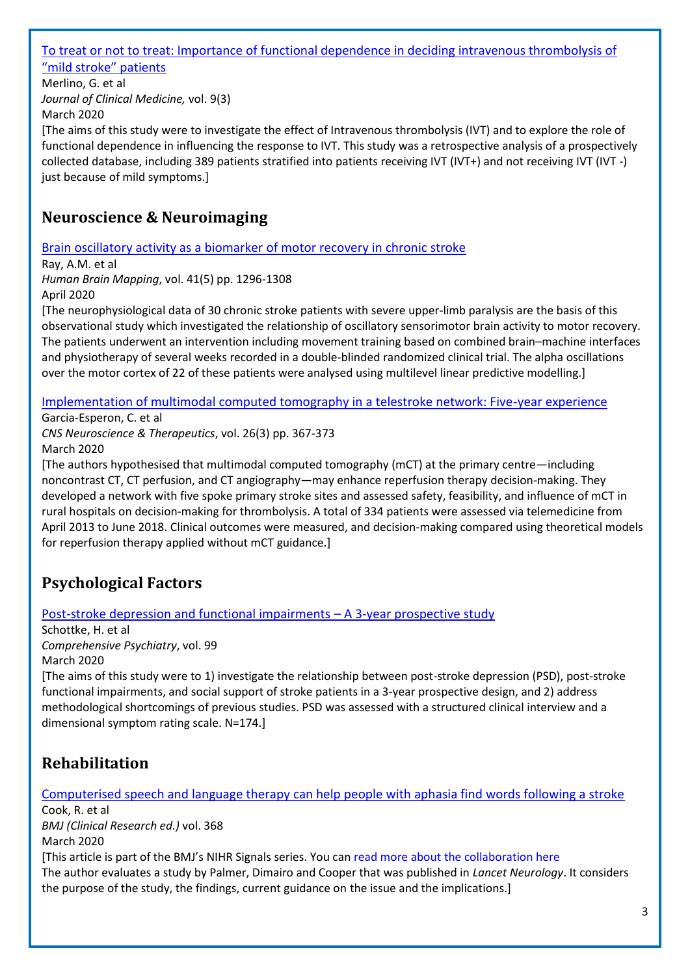#### [To treat or not to treat: Importance of functional dependence in deciding intravenous thrombolysis of](http://europepmc.org/article/MED/32178336?singleResult=true)  ["mild stroke" patients](http://europepmc.org/article/MED/32178336?singleResult=true)

Merlino, G. et al *Journal of Clinical Medicine,* vol. 9(3) March 2020

[The aims of this study were to investigate the effect of Intravenous thrombolysis (IVT) and to explore the role of functional dependence in influencing the response to IVT. This study was a retrospective analysis of a prospectively collected database, including 389 patients stratified into patients receiving IVT (IVT+) and not receiving IVT (IVT -) just because of mild symptoms.]

## <span id="page-2-0"></span>**Neuroscience & Neuroimaging**

[Brain oscillatory activity as a biomarker of motor recovery in chronic stroke](https://onlinelibrary.wiley.com/doi/full/10.1002/hbm.24876)

Ray, A.M. et al *Human Brain Mapping*, vol. 41(5) pp. 1296-1308 April 2020

[The neurophysiological data of 30 chronic stroke patients with severe upper‐limb paralysis are the basis of this observational study which investigated the relationship of oscillatory sensorimotor brain activity to motor recovery. The patients underwent an intervention including movement training based on combined brain–machine interfaces and physiotherapy of several weeks recorded in a double‐blinded randomized clinical trial. The alpha oscillations over the motor cortex of 22 of these patients were analysed using multilevel linear predictive modelling.]

## [Implementation of multimodal computed tomography in a telestroke network: Five-year experience](https://europepmc.org/article/pmc/pmc7052799)

Garcia-Esperon, C. et al *CNS Neuroscience & Therapeutics*, vol. 26(3) pp. 367-373 March 2020

[The authors hypothesised that multimodal computed tomography (mCT) at the primary centre—including noncontrast CT, CT perfusion, and CT angiography—may enhance reperfusion therapy decision‐making. They developed a network with five spoke primary stroke sites and assessed safety, feasibility, and influence of mCT in rural hospitals on decision‐making for thrombolysis. A total of 334 patients were assessed via telemedicine from April 2013 to June 2018. Clinical outcomes were measured, and decision-making compared using theoretical models for reperfusion therapy applied without mCT guidance.]

# <span id="page-2-1"></span>**Psychological Factors**

## [Post-stroke depression and functional impairments](https://www.sciencedirect.com/science/article/pii/S0010440X20300134?via%3Dihub) – A 3-year prospective study

Schottke, H. et al *Comprehensive Psychiatry*, vol. 99 March 2020

[The aims of this study were to 1) investigate the relationship between post-stroke depression (PSD), post-stroke functional impairments, and social support of stroke patients in a 3-year prospective design, and 2) address methodological shortcomings of previous studies. PSD was assessed with a structured clinical interview and a dimensional symptom rating scale. N=174.]

# <span id="page-2-2"></span>**Rehabilitation**

[Computerised speech and language therapy can help people with aphasia find words following a stroke](https://www.bmj.com/content/368/bmj.m520?hwoasp=authn%3A1586889817%3A4058671%3A2462540182%3A0%3A0%3AIdVHgtC%2FX0D4KfVSbBCL3w%3D%3D) Cook, R. et al *BMJ (Clinical Research ed.)* vol. 368 March 2020 [This article is part of the BMJ's NIHR Signals series. You can [read more about the collaboration here](https://www.bmj.com/content/364/bmj.l513) The author evaluates a study by Palmer, Dimairo and Cooper that was published in *Lancet Neurology*. It considers the purpose of the study, the findings, current guidance on the issue and the implications.]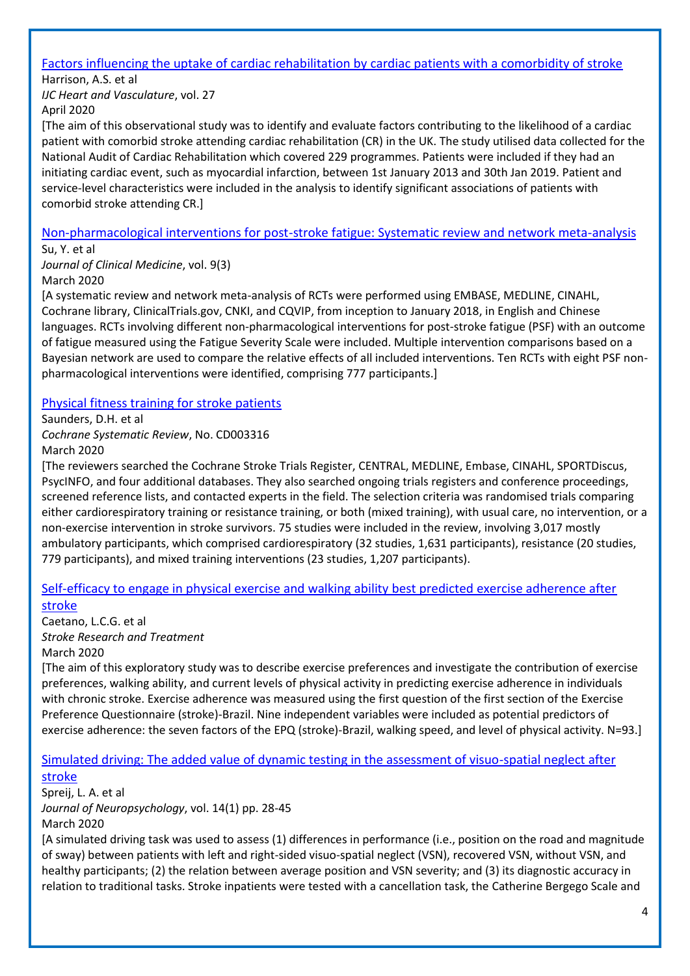# [Factors influencing the uptake of cardiac rehabilitation by cardiac patients with a comorbidity of stroke](https://www.ncbi.nlm.nih.gov/pmc/articles/PMC7010999/)

Harrison, A.S. et al *IJC Heart and Vasculature*, vol. 27 April 2020

[The aim of this observational study was to identify and evaluate factors contributing to the likelihood of a cardiac patient with comorbid stroke attending cardiac rehabilitation (CR) in the UK. The study utilised data collected for the National Audit of Cardiac Rehabilitation which covered 229 programmes. Patients were included if they had an initiating cardiac event, such as myocardial infarction, between 1st January 2013 and 30th Jan 2019. Patient and service-level characteristics were included in the analysis to identify significant associations of patients with comorbid stroke attending CR.]

## [Non-pharmacological interventions for post-stroke fatigue:](https://www.ncbi.nlm.nih.gov/pubmed/32106490) Systematic review and network meta-analysis

Su, Y. et al

*Journal of Clinical Medicine*, vol. 9(3) March 2020

[A systematic review and network meta-analysis of RCTs were performed using EMBASE, MEDLINE, CINAHL, Cochrane library, ClinicalTrials.gov, CNKI, and CQVIP, from inception to January 2018, in English and Chinese languages. RCTs involving different non-pharmacological interventions for post-stroke fatigue (PSF) with an outcome of fatigue measured using the Fatigue Severity Scale were included. Multiple intervention comparisons based on a Bayesian network are used to compare the relative effects of all included interventions. Ten RCTs with eight PSF nonpharmacological interventions were identified, comprising 777 participants.]

## [Physical fitness training for stroke patients](https://www.cochranelibrary.com/cdsr/doi/10.1002/14651858.CD003316.pub7/full?highlightAbstract=stroke|strok)

Saunders, D.H. et al *Cochrane Systematic Review*, No. CD003316

March 2020

[The reviewers searched the Cochrane Stroke Trials Register, CENTRAL, MEDLINE, Embase, CINAHL, SPORTDiscus, PsycINFO, and four additional databases. They also searched ongoing trials registers and conference proceedings, screened reference lists, and contacted experts in the field. The selection criteria was randomised trials comparing either cardiorespiratory training or resistance training, or both (mixed training), with usual care, no intervention, or a non‐exercise intervention in stroke survivors. 75 studies were included in the review, involving 3,017 mostly ambulatory participants, which comprised cardiorespiratory (32 studies, 1,631 participants), resistance (20 studies, 779 participants), and mixed training interventions (23 studies, 1,207 participants).

#### [Self-efficacy to engage in physical exercise and walking ability best predicted exercise adherence after](http://europepmc.org/article/MED/32190284?singleResult=true)  [stroke](http://europepmc.org/article/MED/32190284?singleResult=true)

Caetano, L.C.G. et al *Stroke Research and Treatment* March 2020

[The aim of this exploratory study was to describe exercise preferences and investigate the contribution of exercise preferences, walking ability, and current levels of physical activity in predicting exercise adherence in individuals with chronic stroke. Exercise adherence was measured using the first question of the first section of the Exercise Preference Questionnaire (stroke)-Brazil. Nine independent variables were included as potential predictors of exercise adherence: the seven factors of the EPQ (stroke)-Brazil, walking speed, and level of physical activity. N=93.]

## [Simulated driving: The added value of dynamic testing in the assessment of visuo-spatial neglect after](https://www.ncbi.nlm.nih.gov/pubmed/30325578)

#### [stroke](https://www.ncbi.nlm.nih.gov/pubmed/30325578)

Spreij, L. A. et al *Journal of Neuropsychology*, vol. 14(1) pp. 28-45 March 2020

[A simulated driving task was used to assess (1) differences in performance (i.e., position on the road and magnitude of sway) between patients with left and right-sided visuo-spatial neglect (VSN), recovered VSN, without VSN, and healthy participants; (2) the relation between average position and VSN severity; and (3) its diagnostic accuracy in relation to traditional tasks. Stroke inpatients were tested with a cancellation task, the Catherine Bergego Scale and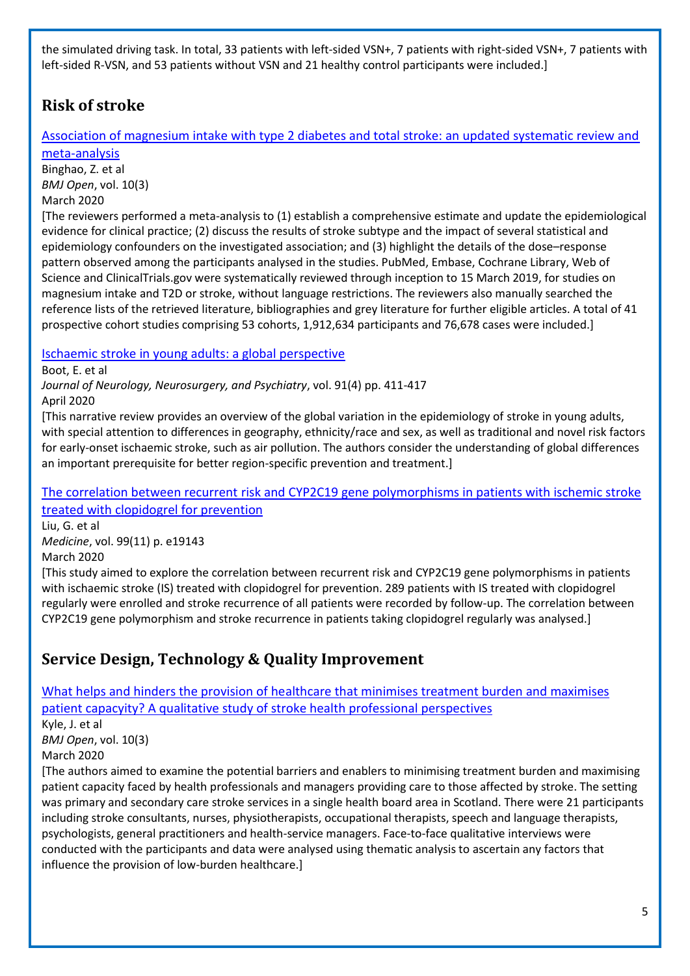the simulated driving task. In total, 33 patients with left-sided VSN+, 7 patients with right-sided VSN+, 7 patients with left-sided R-VSN, and 53 patients without VSN and 21 healthy control participants were included.]

# <span id="page-4-0"></span>**Risk of stroke**

[Association of magnesium intake with type 2 diabetes and total stroke: an updated systematic review and](https://bmjopen.bmj.com/content/10/3/e032240)  [meta-analysis](https://bmjopen.bmj.com/content/10/3/e032240)

Binghao, Z. et al *BMJ Open*, vol. 10(3) March 2020

[The reviewers performed a meta-analysis to (1) establish a comprehensive estimate and update the epidemiological evidence for clinical practice; (2) discuss the results of stroke subtype and the impact of several statistical and epidemiology confounders on the investigated association; and (3) highlight the details of the dose–response pattern observed among the participants analysed in the studies. PubMed, Embase, Cochrane Library, Web of Science and ClinicalTrials.gov were systematically reviewed through inception to 15 March 2019, for studies on magnesium intake and T2D or stroke, without language restrictions. The reviewers also manually searched the reference lists of the retrieved literature, bibliographies and grey literature for further eligible articles. A total of 41 prospective cohort studies comprising 53 cohorts, 1,912,634 participants and 76,678 cases were included.]

[Ischaemic stroke in young adults: a global perspective](https://jnnp.bmj.com/content/91/4/411?hwoasp=authn%3A1586979380%3A4058671%3A2462540182%3A0%3A0%3AKXFCkmYBI%2Bus4oan4mDYRQ%3D%3D)

Boot, E. et al

*Journal of Neurology, Neurosurgery, and Psychiatry*, vol. 91(4) pp. 411-417 April 2020

[This narrative review provides an overview of the global variation in the epidemiology of stroke in young adults, with special attention to differences in geography, ethnicity/race and sex, as well as traditional and novel risk factors for early-onset ischaemic stroke, such as air pollution. The authors consider the understanding of global differences an important prerequisite for better region-specific prevention and treatment.]

The correlation between recurrent [risk and CYP2C19 gene polymorphisms in patients with ischemic stroke](https://journals.lww.com/md-journal/FullText/2020/03130/The_correlation_between_recurrent_risk_and_CYP2C19.17.aspx)  [treated with clopidogrel for prevention](https://journals.lww.com/md-journal/FullText/2020/03130/The_correlation_between_recurrent_risk_and_CYP2C19.17.aspx)

Liu, G. et al *Medicine*, vol. 99(11) p. e19143

March 2020

[This study aimed to explore the correlation between recurrent risk and CYP2C19 gene polymorphisms in patients with ischaemic stroke (IS) treated with clopidogrel for prevention. 289 patients with IS treated with clopidogrel regularly were enrolled and stroke recurrence of all patients were recorded by follow-up. The correlation between CYP2C19 gene polymorphism and stroke recurrence in patients taking clopidogrel regularly was analysed.]

# <span id="page-4-1"></span>**Service Design, Technology & Quality Improvement**

[What helps and hinders the provision of healthcare that minimises treatment burden and maximises](https://bmjopen.bmj.com/content/10/3/e034113)  [patient capacyity? A qualitative study of stroke health professional perspectives](https://bmjopen.bmj.com/content/10/3/e034113) Kyle, J. et al *BMJ Open*, vol. 10(3) March 2020 [The authors aimed to examine the potential barriers and enablers to minimising treatment burden and maximising patient capacity faced by health professionals and managers providing care to those affected by stroke. The setting was primary and secondary care stroke services in a single health board area in Scotland. There were 21 participants including stroke consultants, nurses, physiotherapists, occupational therapists, speech and language therapists,

psychologists, general practitioners and health-service managers. Face-to-face qualitative interviews were conducted with the participants and data were analysed using thematic analysis to ascertain any factors that influence the provision of low-burden healthcare.]